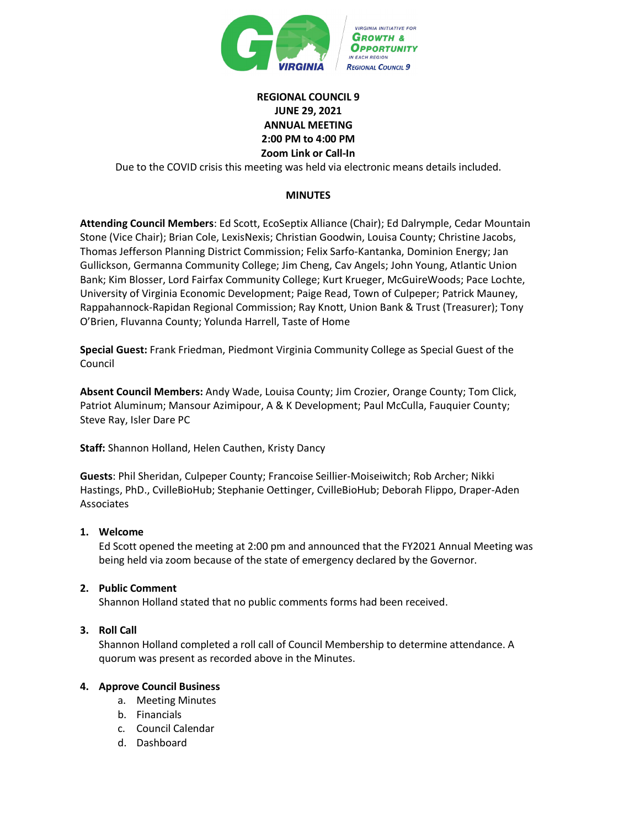

# **REGIONAL COUNCIL 9 JUNE 29, 2021 ANNUAL MEETING 2:00 PM to 4:00 PM Zoom Link or Call-In**

Due to the COVID crisis this meeting was held via electronic means details included.

## **MINUTES**

**Attending Council Members**: Ed Scott, EcoSeptix Alliance (Chair); Ed Dalrymple, Cedar Mountain Stone (Vice Chair); Brian Cole, LexisNexis; Christian Goodwin, Louisa County; Christine Jacobs, Thomas Jefferson Planning District Commission; Felix Sarfo-Kantanka, Dominion Energy; Jan Gullickson, Germanna Community College; Jim Cheng, Cav Angels; John Young, Atlantic Union Bank; Kim Blosser, Lord Fairfax Community College; Kurt Krueger, McGuireWoods; Pace Lochte, University of Virginia Economic Development; Paige Read, Town of Culpeper; Patrick Mauney, Rappahannock-Rapidan Regional Commission; Ray Knott, Union Bank & Trust (Treasurer); Tony O'Brien, Fluvanna County; Yolunda Harrell, Taste of Home

**Special Guest:** Frank Friedman, Piedmont Virginia Community College as Special Guest of the Council

**Absent Council Members:** Andy Wade, Louisa County; Jim Crozier, Orange County; Tom Click, Patriot Aluminum; Mansour Azimipour, A & K Development; Paul McCulla, Fauquier County; Steve Ray, Isler Dare PC

**Staff:** Shannon Holland, Helen Cauthen, Kristy Dancy

**Guests**: Phil Sheridan, Culpeper County; Francoise Seillier-Moiseiwitch; Rob Archer; Nikki Hastings, PhD., CvilleBioHub; Stephanie Oettinger, CvilleBioHub; Deborah Flippo, Draper-Aden Associates

#### **1. Welcome**

Ed Scott opened the meeting at 2:00 pm and announced that the FY2021 Annual Meeting was being held via zoom because of the state of emergency declared by the Governor.

#### **2. Public Comment**

Shannon Holland stated that no public comments forms had been received.

## **3. Roll Call**

Shannon Holland completed a roll call of Council Membership to determine attendance. A quorum was present as recorded above in the Minutes.

## **4. Approve Council Business**

- a. Meeting Minutes
- b. Financials
- c. Council Calendar
- d. Dashboard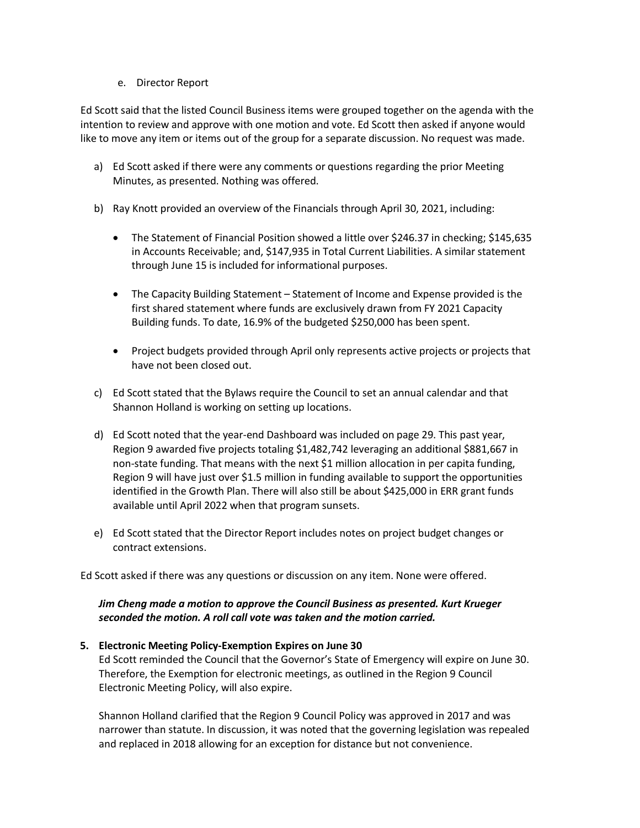e. Director Report

Ed Scott said that the listed Council Business items were grouped together on the agenda with the intention to review and approve with one motion and vote. Ed Scott then asked if anyone would like to move any item or items out of the group for a separate discussion. No request was made.

- a) Ed Scott asked if there were any comments or questions regarding the prior Meeting Minutes, as presented. Nothing was offered.
- b) Ray Knott provided an overview of the Financials through April 30, 2021, including:
	- The Statement of Financial Position showed a little over \$246.37 in checking; \$145,635 in Accounts Receivable; and, \$147,935 in Total Current Liabilities. A similar statement through June 15 is included for informational purposes.
	- The Capacity Building Statement Statement of Income and Expense provided is the first shared statement where funds are exclusively drawn from FY 2021 Capacity Building funds. To date, 16.9% of the budgeted \$250,000 has been spent.
	- Project budgets provided through April only represents active projects or projects that have not been closed out.
- c) Ed Scott stated that the Bylaws require the Council to set an annual calendar and that Shannon Holland is working on setting up locations.
- d) Ed Scott noted that the year-end Dashboard was included on page 29. This past year, Region 9 awarded five projects totaling \$1,482,742 leveraging an additional \$881,667 in non-state funding. That means with the next \$1 million allocation in per capita funding, Region 9 will have just over \$1.5 million in funding available to support the opportunities identified in the Growth Plan. There will also still be about \$425,000 in ERR grant funds available until April 2022 when that program sunsets.
- e) Ed Scott stated that the Director Report includes notes on project budget changes or contract extensions.

Ed Scott asked if there was any questions or discussion on any item. None were offered.

# *Jim Cheng made a motion to approve the Council Business as presented. Kurt Krueger seconded the motion. A roll call vote was taken and the motion carried.*

# **5. Electronic Meeting Policy-Exemption Expires on June 30**

Ed Scott reminded the Council that the Governor's State of Emergency will expire on June 30. Therefore, the Exemption for electronic meetings, as outlined in the Region 9 Council Electronic Meeting Policy, will also expire.

Shannon Holland clarified that the Region 9 Council Policy was approved in 2017 and was narrower than statute. In discussion, it was noted that the governing legislation was repealed and replaced in 2018 allowing for an exception for distance but not convenience.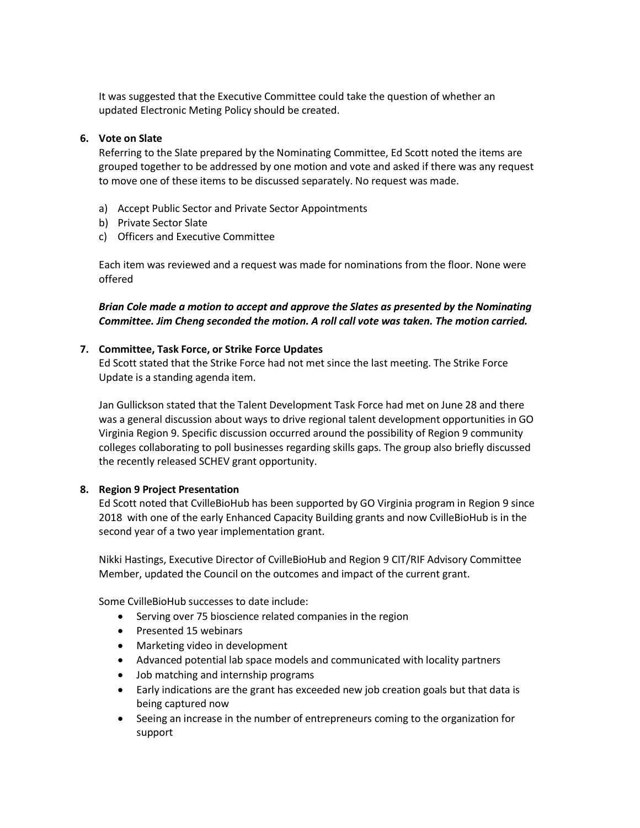It was suggested that the Executive Committee could take the question of whether an updated Electronic Meting Policy should be created.

#### **6. Vote on Slate**

Referring to the Slate prepared by the Nominating Committee, Ed Scott noted the items are grouped together to be addressed by one motion and vote and asked if there was any request to move one of these items to be discussed separately. No request was made.

- a) Accept Public Sector and Private Sector Appointments
- b) Private Sector Slate
- c) Officers and Executive Committee

Each item was reviewed and a request was made for nominations from the floor. None were offered

*Brian Cole made a motion to accept and approve the Slates as presented by the Nominating Committee. Jim Cheng seconded the motion. A roll call vote was taken. The motion carried.* 

#### **7. Committee, Task Force, or Strike Force Updates**

Ed Scott stated that the Strike Force had not met since the last meeting. The Strike Force Update is a standing agenda item.

Jan Gullickson stated that the Talent Development Task Force had met on June 28 and there was a general discussion about ways to drive regional talent development opportunities in GO Virginia Region 9. Specific discussion occurred around the possibility of Region 9 community colleges collaborating to poll businesses regarding skills gaps. The group also briefly discussed the recently released SCHEV grant opportunity.

## **8. Region 9 Project Presentation**

Ed Scott noted that CvilleBioHub has been supported by GO Virginia program in Region 9 since 2018 with one of the early Enhanced Capacity Building grants and now CvilleBioHub is in the second year of a two year implementation grant.

Nikki Hastings, Executive Director of CvilleBioHub and Region 9 CIT/RIF Advisory Committee Member, updated the Council on the outcomes and impact of the current grant.

Some CvilleBioHub successes to date include:

- Serving over 75 bioscience related companies in the region
- Presented 15 webinars
- Marketing video in development
- Advanced potential lab space models and communicated with locality partners
- Job matching and internship programs
- Early indications are the grant has exceeded new job creation goals but that data is being captured now
- Seeing an increase in the number of entrepreneurs coming to the organization for support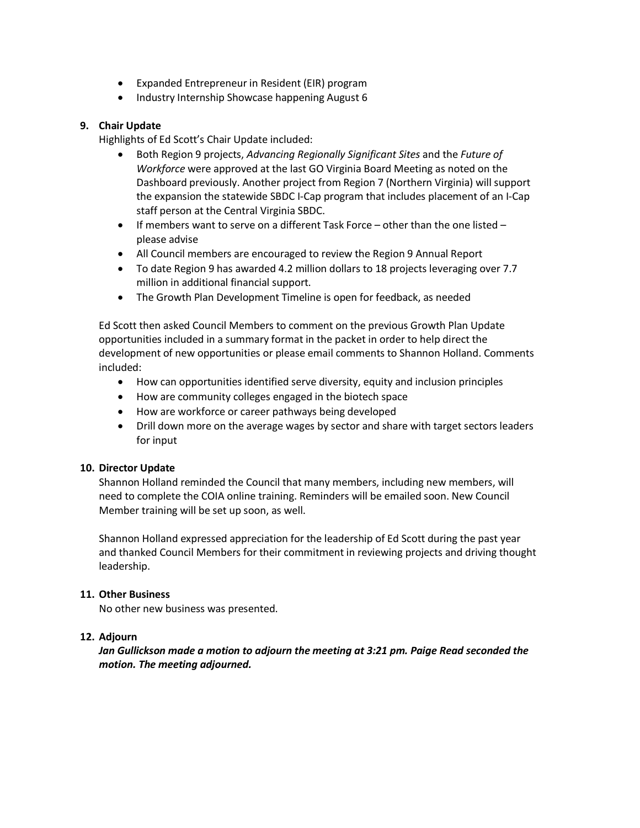- Expanded Entrepreneur in Resident (EIR) program
- Industry Internship Showcase happening August 6

## **9. Chair Update**

Highlights of Ed Scott's Chair Update included:

- Both Region 9 projects, *Advancing Regionally Significant Sites* and the *Future of Workforce* were approved at the last GO Virginia Board Meeting as noted on the Dashboard previously. Another project from Region 7 (Northern Virginia) will support the expansion the statewide SBDC I-Cap program that includes placement of an I-Cap staff person at the Central Virginia SBDC.
- If members want to serve on a different Task Force other than the one listed please advise
- All Council members are encouraged to review the Region 9 Annual Report
- To date Region 9 has awarded 4.2 million dollars to 18 projects leveraging over 7.7 million in additional financial support.
- The Growth Plan Development Timeline is open for feedback, as needed

Ed Scott then asked Council Members to comment on the previous Growth Plan Update opportunities included in a summary format in the packet in order to help direct the development of new opportunities or please email comments to Shannon Holland. Comments included:

- How can opportunities identified serve diversity, equity and inclusion principles
- How are community colleges engaged in the biotech space
- How are workforce or career pathways being developed
- Drill down more on the average wages by sector and share with target sectors leaders for input

## **10. Director Update**

Shannon Holland reminded the Council that many members, including new members, will need to complete the COIA online training. Reminders will be emailed soon. New Council Member training will be set up soon, as well.

Shannon Holland expressed appreciation for the leadership of Ed Scott during the past year and thanked Council Members for their commitment in reviewing projects and driving thought leadership.

## **11. Other Business**

No other new business was presented.

## **12. Adjourn**

*Jan Gullickson made a motion to adjourn the meeting at 3:21 pm. Paige Read seconded the motion. The meeting adjourned.*